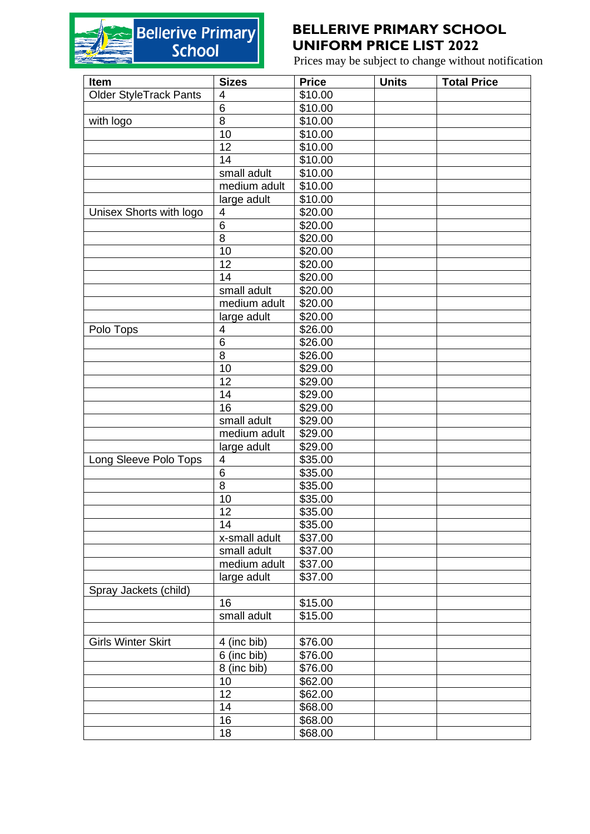## Bellerive Primary

## **BELLERIVE PRIMARY SCHOOL UNIFORM PRICE LIST 2022**

Prices may be subject to change without notification

| Item                      | <b>Sizes</b>  | <b>Price</b>        | <b>Units</b> | <b>Total Price</b> |
|---------------------------|---------------|---------------------|--------------|--------------------|
| Older StyleTrack Pants    | 4             | \$10.00             |              |                    |
|                           | 6             | \$10.00             |              |                    |
| with logo                 | 8             | \$10.00             |              |                    |
|                           | 10            | \$10.00             |              |                    |
|                           | 12            | \$10.00             |              |                    |
|                           | 14            | \$10.00             |              |                    |
|                           | small adult   | \$10.00             |              |                    |
|                           | medium adult  | \$10.00             |              |                    |
|                           | large adult   | \$10.00             |              |                    |
| Unisex Shorts with logo   | 4             | \$20.00             |              |                    |
|                           | 6             | \$20.00             |              |                    |
|                           | 8             | \$20.00             |              |                    |
|                           | 10            | \$20.00             |              |                    |
|                           | 12            | \$20.00             |              |                    |
|                           | 14            | \$20.00             |              |                    |
|                           | small adult   | \$20.00             |              |                    |
|                           | medium adult  | \$20.00             |              |                    |
|                           | large adult   | \$20.00             |              |                    |
| Polo Tops                 | 4             | \$26.00             |              |                    |
|                           | 6             | \$26.00             |              |                    |
|                           | 8             | \$26.00             |              |                    |
|                           | 10            | \$29.00             |              |                    |
|                           | 12            | \$29.00             |              |                    |
|                           | 14            | \$29.00             |              |                    |
|                           | 16            | \$29.00             |              |                    |
|                           | small adult   | \$29.00             |              |                    |
|                           | medium adult  | $\overline{$}29.00$ |              |                    |
|                           | large adult   | \$29.00             |              |                    |
| Long Sleeve Polo Tops     | 4             | \$35.00             |              |                    |
|                           | 6             | \$35.00             |              |                    |
|                           | 8             | \$35.00             |              |                    |
|                           | 10            | \$35.00             |              |                    |
|                           | 12            | \$35.00             |              |                    |
|                           | 14            | \$35.00             |              |                    |
|                           | x-small adult | \$37.00             |              |                    |
|                           | small adult   | \$37.00             |              |                    |
|                           | medium adult  | $\overline{$}37.00$ |              |                    |
|                           | large adult   | \$37.00             |              |                    |
| Spray Jackets (child)     |               |                     |              |                    |
|                           | 16            | \$15.00             |              |                    |
|                           | small adult   | \$15.00             |              |                    |
|                           |               |                     |              |                    |
| <b>Girls Winter Skirt</b> | 4 (inc bib)   | \$76.00             |              |                    |
|                           | 6 (inc bib)   | \$76.00             |              |                    |
|                           | 8 (inc bib)   | \$76.00             |              |                    |
|                           | 10            | \$62.00             |              |                    |
|                           | 12            | \$62.00             |              |                    |
|                           | 14            | \$68.00             |              |                    |
|                           | 16            | \$68.00             |              |                    |
|                           | 18            | \$68.00             |              |                    |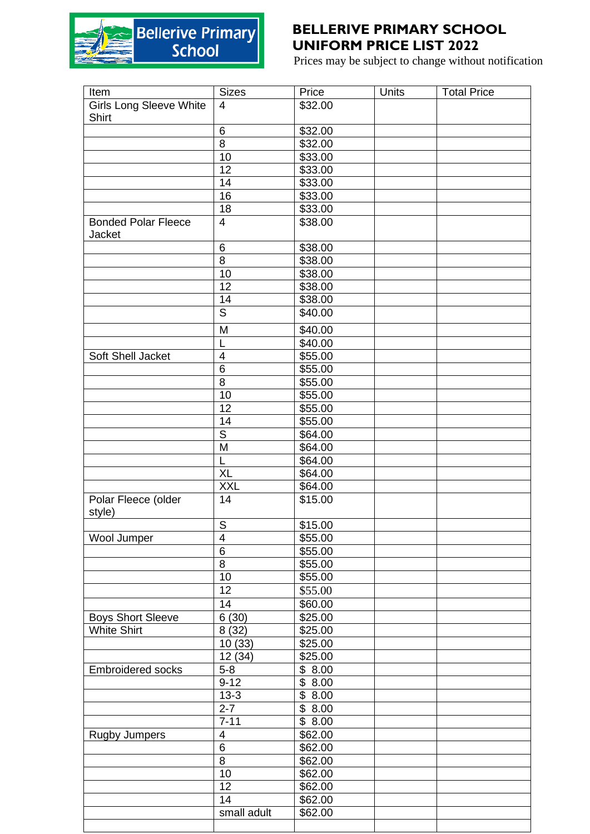

## **BELLERIVE PRIMARY SCHOOL UNIFORM PRICE LIST 2022**

Prices may be subject to change without notification

| <b>Sizes</b>      | Price                                                                                                                                                                                                                                                                                                                      | Units                                                                                                                                                                                                                                                                                                                                                                                                                     | <b>Total Price</b> |
|-------------------|----------------------------------------------------------------------------------------------------------------------------------------------------------------------------------------------------------------------------------------------------------------------------------------------------------------------------|---------------------------------------------------------------------------------------------------------------------------------------------------------------------------------------------------------------------------------------------------------------------------------------------------------------------------------------------------------------------------------------------------------------------------|--------------------|
| 4                 | \$32.00                                                                                                                                                                                                                                                                                                                    |                                                                                                                                                                                                                                                                                                                                                                                                                           |                    |
|                   |                                                                                                                                                                                                                                                                                                                            |                                                                                                                                                                                                                                                                                                                                                                                                                           |                    |
| 6                 | \$32.00                                                                                                                                                                                                                                                                                                                    |                                                                                                                                                                                                                                                                                                                                                                                                                           |                    |
| 8                 | \$32.00                                                                                                                                                                                                                                                                                                                    |                                                                                                                                                                                                                                                                                                                                                                                                                           |                    |
| 10                | \$33.00                                                                                                                                                                                                                                                                                                                    |                                                                                                                                                                                                                                                                                                                                                                                                                           |                    |
| 12                | \$33.00                                                                                                                                                                                                                                                                                                                    |                                                                                                                                                                                                                                                                                                                                                                                                                           |                    |
| 14                | \$33.00                                                                                                                                                                                                                                                                                                                    |                                                                                                                                                                                                                                                                                                                                                                                                                           |                    |
| 16                |                                                                                                                                                                                                                                                                                                                            |                                                                                                                                                                                                                                                                                                                                                                                                                           |                    |
| 18                |                                                                                                                                                                                                                                                                                                                            |                                                                                                                                                                                                                                                                                                                                                                                                                           |                    |
| $\overline{4}$    | $\overline{$}38.00$                                                                                                                                                                                                                                                                                                        |                                                                                                                                                                                                                                                                                                                                                                                                                           |                    |
|                   |                                                                                                                                                                                                                                                                                                                            |                                                                                                                                                                                                                                                                                                                                                                                                                           |                    |
|                   |                                                                                                                                                                                                                                                                                                                            |                                                                                                                                                                                                                                                                                                                                                                                                                           |                    |
|                   |                                                                                                                                                                                                                                                                                                                            |                                                                                                                                                                                                                                                                                                                                                                                                                           |                    |
|                   |                                                                                                                                                                                                                                                                                                                            |                                                                                                                                                                                                                                                                                                                                                                                                                           |                    |
|                   |                                                                                                                                                                                                                                                                                                                            |                                                                                                                                                                                                                                                                                                                                                                                                                           |                    |
|                   |                                                                                                                                                                                                                                                                                                                            |                                                                                                                                                                                                                                                                                                                                                                                                                           |                    |
|                   |                                                                                                                                                                                                                                                                                                                            |                                                                                                                                                                                                                                                                                                                                                                                                                           |                    |
|                   |                                                                                                                                                                                                                                                                                                                            |                                                                                                                                                                                                                                                                                                                                                                                                                           |                    |
|                   |                                                                                                                                                                                                                                                                                                                            |                                                                                                                                                                                                                                                                                                                                                                                                                           |                    |
|                   |                                                                                                                                                                                                                                                                                                                            |                                                                                                                                                                                                                                                                                                                                                                                                                           |                    |
|                   |                                                                                                                                                                                                                                                                                                                            |                                                                                                                                                                                                                                                                                                                                                                                                                           |                    |
|                   |                                                                                                                                                                                                                                                                                                                            |                                                                                                                                                                                                                                                                                                                                                                                                                           |                    |
|                   |                                                                                                                                                                                                                                                                                                                            |                                                                                                                                                                                                                                                                                                                                                                                                                           |                    |
|                   |                                                                                                                                                                                                                                                                                                                            |                                                                                                                                                                                                                                                                                                                                                                                                                           |                    |
|                   |                                                                                                                                                                                                                                                                                                                            |                                                                                                                                                                                                                                                                                                                                                                                                                           |                    |
|                   |                                                                                                                                                                                                                                                                                                                            |                                                                                                                                                                                                                                                                                                                                                                                                                           |                    |
|                   |                                                                                                                                                                                                                                                                                                                            |                                                                                                                                                                                                                                                                                                                                                                                                                           |                    |
| L                 |                                                                                                                                                                                                                                                                                                                            |                                                                                                                                                                                                                                                                                                                                                                                                                           |                    |
|                   |                                                                                                                                                                                                                                                                                                                            |                                                                                                                                                                                                                                                                                                                                                                                                                           |                    |
|                   |                                                                                                                                                                                                                                                                                                                            |                                                                                                                                                                                                                                                                                                                                                                                                                           |                    |
|                   |                                                                                                                                                                                                                                                                                                                            |                                                                                                                                                                                                                                                                                                                                                                                                                           |                    |
|                   |                                                                                                                                                                                                                                                                                                                            |                                                                                                                                                                                                                                                                                                                                                                                                                           |                    |
| 4                 | \$55.00                                                                                                                                                                                                                                                                                                                    |                                                                                                                                                                                                                                                                                                                                                                                                                           |                    |
|                   | \$55.00                                                                                                                                                                                                                                                                                                                    |                                                                                                                                                                                                                                                                                                                                                                                                                           |                    |
| 8                 | \$55.00                                                                                                                                                                                                                                                                                                                    |                                                                                                                                                                                                                                                                                                                                                                                                                           |                    |
| 10                |                                                                                                                                                                                                                                                                                                                            |                                                                                                                                                                                                                                                                                                                                                                                                                           |                    |
| 12                | \$55.00                                                                                                                                                                                                                                                                                                                    |                                                                                                                                                                                                                                                                                                                                                                                                                           |                    |
| 14                |                                                                                                                                                                                                                                                                                                                            |                                                                                                                                                                                                                                                                                                                                                                                                                           |                    |
|                   | \$25.00                                                                                                                                                                                                                                                                                                                    |                                                                                                                                                                                                                                                                                                                                                                                                                           |                    |
|                   |                                                                                                                                                                                                                                                                                                                            |                                                                                                                                                                                                                                                                                                                                                                                                                           |                    |
|                   |                                                                                                                                                                                                                                                                                                                            |                                                                                                                                                                                                                                                                                                                                                                                                                           |                    |
|                   |                                                                                                                                                                                                                                                                                                                            |                                                                                                                                                                                                                                                                                                                                                                                                                           |                    |
|                   |                                                                                                                                                                                                                                                                                                                            |                                                                                                                                                                                                                                                                                                                                                                                                                           |                    |
|                   |                                                                                                                                                                                                                                                                                                                            |                                                                                                                                                                                                                                                                                                                                                                                                                           |                    |
|                   |                                                                                                                                                                                                                                                                                                                            |                                                                                                                                                                                                                                                                                                                                                                                                                           |                    |
|                   |                                                                                                                                                                                                                                                                                                                            |                                                                                                                                                                                                                                                                                                                                                                                                                           |                    |
|                   |                                                                                                                                                                                                                                                                                                                            |                                                                                                                                                                                                                                                                                                                                                                                                                           |                    |
|                   |                                                                                                                                                                                                                                                                                                                            |                                                                                                                                                                                                                                                                                                                                                                                                                           |                    |
|                   |                                                                                                                                                                                                                                                                                                                            |                                                                                                                                                                                                                                                                                                                                                                                                                           |                    |
|                   |                                                                                                                                                                                                                                                                                                                            |                                                                                                                                                                                                                                                                                                                                                                                                                           |                    |
|                   |                                                                                                                                                                                                                                                                                                                            |                                                                                                                                                                                                                                                                                                                                                                                                                           |                    |
|                   |                                                                                                                                                                                                                                                                                                                            |                                                                                                                                                                                                                                                                                                                                                                                                                           |                    |
|                   |                                                                                                                                                                                                                                                                                                                            |                                                                                                                                                                                                                                                                                                                                                                                                                           |                    |
|                   |                                                                                                                                                                                                                                                                                                                            |                                                                                                                                                                                                                                                                                                                                                                                                                           |                    |
| 14<br>small adult | \$62.00<br>\$62.00                                                                                                                                                                                                                                                                                                         |                                                                                                                                                                                                                                                                                                                                                                                                                           |                    |
|                   | 6<br>8<br>10<br>12<br>14<br>$\overline{s}$<br>M<br>L<br>4<br>6<br>8<br>10<br>12<br>14<br>$\overline{\mathsf{s}}$<br>M<br><b>XL</b><br><b>XXL</b><br>14<br>$\overline{\mathsf{s}}$<br>$6\phantom{1}$<br>6(30)<br>8(32)<br>10(33)<br>12(34)<br>$5-8$<br>$9 - 12$<br>$13-3$<br>$2 - 7$<br>$7 - 11$<br>4<br>6<br>8<br>10<br>12 | \$33.00<br>\$33.00<br>\$38.00<br>\$38.00<br>\$38.00<br>\$38.00<br>\$38.00<br>\$40.00<br>\$40.00<br>\$40.00<br>\$55.00<br>\$55.00<br>\$55.00<br>\$55.00<br>\$55.00<br>\$55.00<br>\$64.00<br>\$64.00<br>\$64.00<br>\$64.00<br>\$64.00<br>\$15.00<br>\$15.00<br>\$55.00<br>\$60.00<br>\$25.00<br>\$25.00<br>\$25.00<br>\$8.00<br>\$8.00<br>\$8.00<br>\$8.00<br>\$8.00<br>\$62.00<br>\$62.00<br>\$62.00<br>\$62.00<br>\$62.00 |                    |